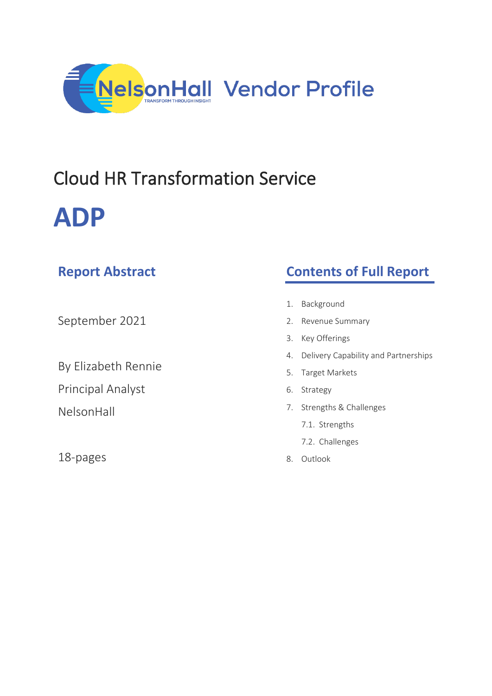

# Cloud HR Transformation Service **ADP**

| <b>Report Abstract</b>   | <b>Contents of Full Report</b>             |
|--------------------------|--------------------------------------------|
|                          |                                            |
|                          | Background<br>1.                           |
| September 2021           | Revenue Summary<br>2.                      |
|                          | Key Offerings<br>3.                        |
|                          | Delivery Capability and Partnerships<br>4. |
| By Elizabeth Rennie      | <b>Target Markets</b><br>5.                |
| <b>Principal Analyst</b> | Strategy<br>6.                             |
| NelsonHall               | Strengths & Challenges<br>7.               |
|                          | 7.1. Strengths                             |

18-pages

- ths 7.2. Challenges
- 8. Outlook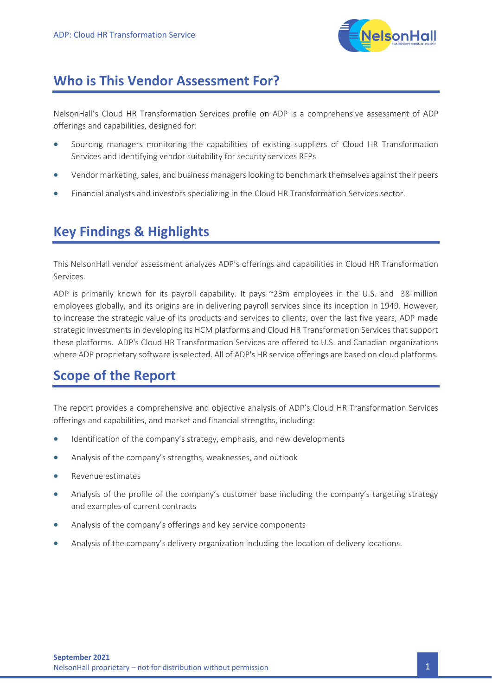

## **Who is This Vendor Assessment For?**

NelsonHall's Cloud HR Transformation Services profile on ADP is a comprehensive assessment of ADP offerings and capabilities, designed for:

- Sourcing managers monitoring the capabilities of existing suppliers of Cloud HR Transformation Services and identifying vendor suitability for security services RFPs
- Vendor marketing, sales, and business managers looking to benchmark themselves against their peers
- Financial analysts and investors specializing in the Cloud HR Transformation Services sector.

# **Key Findings & Highlights**

This NelsonHall vendor assessment analyzes ADP's offerings and capabilities in Cloud HR Transformation Services.

ADP is primarily known for its payroll capability. It pays ~23m employees in the U.S. and 38 million employees globally, and its origins are in delivering payroll services since its inception in 1949. However, to increase the strategic value of its products and services to clients, over the last five years, ADP made strategic investments in developing its HCM platforms and Cloud HR Transformation Services that support these platforms. ADP's Cloud HR Transformation Services are offered to U.S. and Canadian organizations where ADP proprietary software is selected. All of ADP's HR service offerings are based on cloud platforms.

# **Scope of the Report**

The report provides a comprehensive and objective analysis of ADP's Cloud HR Transformation Services offerings and capabilities, and market and financial strengths, including:

- Identification of the company's strategy, emphasis, and new developments
- Analysis of the company's strengths, weaknesses, and outlook
- Revenue estimates
- Analysis of the profile of the company's customer base including the company's targeting strategy and examples of current contracts
- Analysis of the company's offerings and key service components
- Analysis of the company's delivery organization including the location of delivery locations.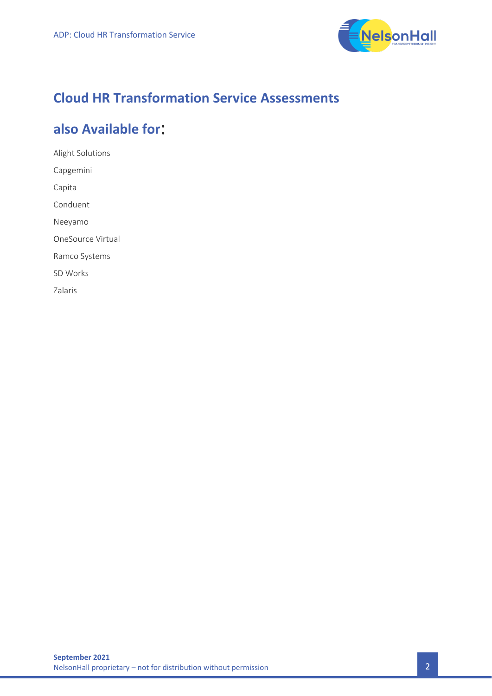

# **Cloud HR Transformation Service Assessments**

# also Available for:

Alight Solutions Capgemini Capita Conduent Neeyamo OneSource Virtual Ramco Systems SD Works Zalaris